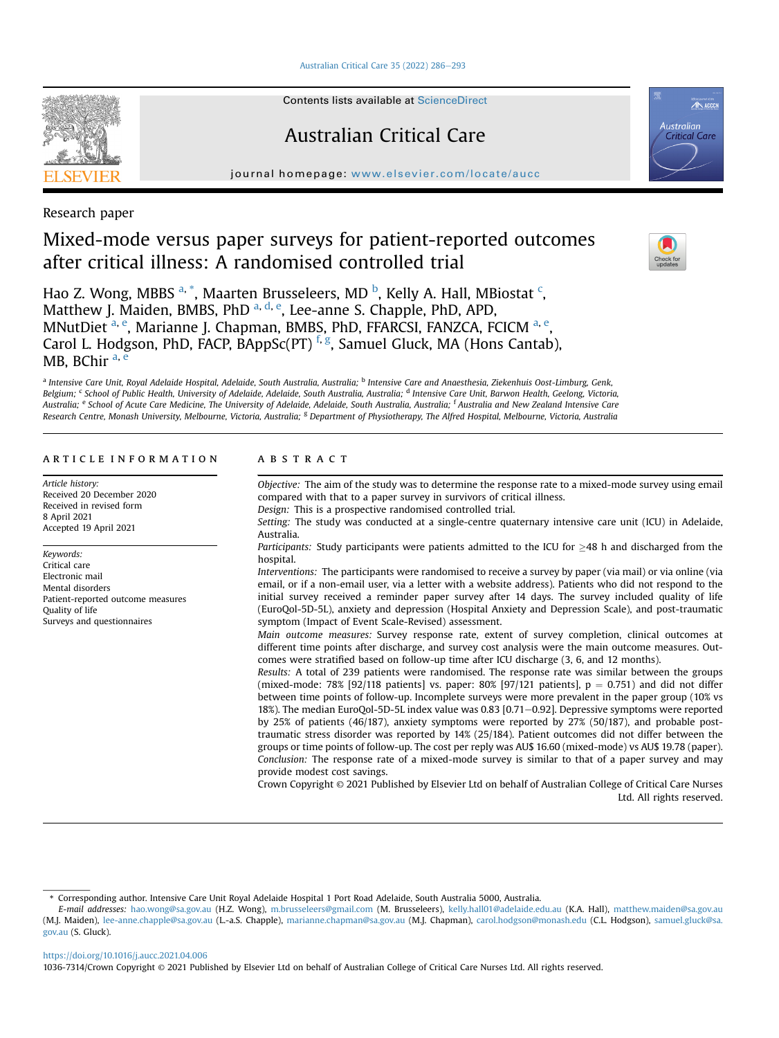[Australian Critical Care 35 \(2022\) 286](https://doi.org/10.1016/j.aucc.2021.04.006)-[293](https://doi.org/10.1016/j.aucc.2021.04.006)



Contents lists available at ScienceDirect

# Australian Critical Care

journal homepage: <www.elsevier.com/locate/aucc>

Research paper

# Mixed-mode versus paper surveys for patient-reported outcomes after critical illness: A randomised controlled trial



 $\overline{\mathbf{A}}$  ACCC

Australian<br>Critical Care

Hao Z. Wong, MBBS <sup>[a,](#page-0-0) [\\*](#page-0-1)</sup>, Maarten Brusseleers, MD <sup>[b](#page-0-0)</sup>, Kelly A. Hall, MBiostat <sup>[c](#page-0-2)</sup>, M[a](#page-0-0)tthew J. Mai[d](#page-0-2)[e](#page-0-3)n, BMBS, PhD <sup>a, d, e</sup>, Lee-anne S. Chapple, PhD, APD, MNutDiet <sup>[a](#page-0-0), [e](#page-0-3)</sup>, Marianne J. Chapman, BMBS, PhD, FFARCSI, FANZCA, FCICM <sup>[a,](#page-0-0) e</sup>, Carol L. Hodgson, PhD, FACP, BAppSc(PT) <sup>[f,](#page-0-3) [g](#page-0-4)</sup>, Samuel Gluck, MA (Hons Cantab), MB, BChir<sup>[a](#page-0-0), [e](#page-0-3)</sup>

<span id="page-0-4"></span><span id="page-0-3"></span><span id="page-0-2"></span><span id="page-0-0"></span><sup>a</sup> Intensive Care Unit, Royal Adelaide Hospital, Adelaide, South Australia, Australia; <sup>b</sup> Intensive Care and Anaesthesia, Ziekenhuis Oost-Limburg, Genk, Belgium; <sup>c</sup> School of Public Health, University of Adelaide, Adelaide, South Australia, Australia; <sup>d</sup> Intensive Care Unit, Barwon Health, Geelong, Victoria, Australia; <sup>e</sup> School of Acute Care Medicine, The University of Adelaide, Adelaide, South Australia, Australia; <sup>f</sup> Australia and New Zealand Intensive Care Research Centre, Monash University, Melbourne, Victoria, Australia; <sup>g</sup> Department of Physiotherapy, The Alfred Hospital, Melbourne, Victoria, Australia

#### article information

Article history: Received 20 December 2020 Received in revised form 8 April 2021 Accepted 19 April 2021

Keywords: Critical care Electronic mail Mental disorders Patient-reported outcome measures Quality of life Surveys and questionnaires

#### **ABSTRACT**

Objective: The aim of the study was to determine the response rate to a mixed-mode survey using email compared with that to a paper survey in survivors of critical illness. Design: This is a prospective randomised controlled trial. Setting: The study was conducted at a single-centre quaternary intensive care unit (ICU) in Adelaide, Australia. Participants: Study participants were patients admitted to the ICU for  $\geq$ 48 h and discharged from the hospital. Interventions: The participants were randomised to receive a survey by paper (via mail) or via online (via email, or if a non-email user, via a letter with a website address). Patients who did not respond to the initial survey received a reminder paper survey after 14 days. The survey included quality of life (EuroQol-5D-5L), anxiety and depression (Hospital Anxiety and Depression Scale), and post-traumatic symptom (Impact of Event Scale-Revised) assessment. Main outcome measures: Survey response rate, extent of survey completion, clinical outcomes at different time points after discharge, and survey cost analysis were the main outcome measures. Outcomes were stratified based on follow-up time after ICU discharge (3, 6, and 12 months). Results: A total of 239 patients were randomised. The response rate was similar between the groups (mixed-mode: 78% [92/118 patients] vs. paper: 80% [97/121 patients],  $p = 0.751$ ) and did not differ between time points of follow-up. Incomplete surveys were more prevalent in the paper group (10% vs 18%). The median EuroQol-5D-5L index value was  $0.83$  [0.71 $-0.92$ ]. Depressive symptoms were reported by 25% of patients (46/187), anxiety symptoms were reported by 27% (50/187), and probable posttraumatic stress disorder was reported by 14% (25/184). Patient outcomes did not differ between the groups or time points of follow-up. The cost per reply was AU\$ 16.60 (mixed-mode) vs AU\$ 19.78 (paper). Conclusion: The response rate of a mixed-mode survey is similar to that of a paper survey and may provide modest cost savings.

Crown Copyright © 2021 Published by Elsevier Ltd on behalf of Australian College of Critical Care Nurses Ltd. All rights reserved.

<https://doi.org/10.1016/j.aucc.2021.04.006>

1036-7314/Crown Copyright © 2021 Published by Elsevier Ltd on behalf of Australian College of Critical Care Nurses Ltd. All rights reserved.

<span id="page-0-1"></span><sup>\*</sup> Corresponding author. Intensive Care Unit Royal Adelaide Hospital 1 Port Road Adelaide, South Australia 5000, Australia.

E-mail addresses: [hao.wong@sa.gov.au](mailto:hao.wong@sa.gov.au) (H.Z. Wong), [m.brusseleers@gmail.com](mailto:m.brusseleers@gmail.com) (M. Brusseleers), [kelly.hall01@adelaide.edu.au](mailto:kelly.hall01@adelaide.edu.au) (K.A. Hall), [matthew.maiden@sa.gov.au](mailto:matthew.maiden@sa.gov.au) (M.J. Maiden), [lee-anne.chapple@sa.gov.au](mailto:lee-anne.chapple@sa.gov.au) (L.-a.S. Chapple), [marianne.chapman@sa.gov.au](mailto:marianne.chapman@sa.gov.au) (M.J. Chapman), [carol.hodgson@monash.edu](mailto:carol.hodgson@monash.edu) (C.L. Hodgson), [samuel.gluck@sa.](mailto:samuel.gluck@sa.gov.au) [gov.au](mailto:samuel.gluck@sa.gov.au) (S. Gluck).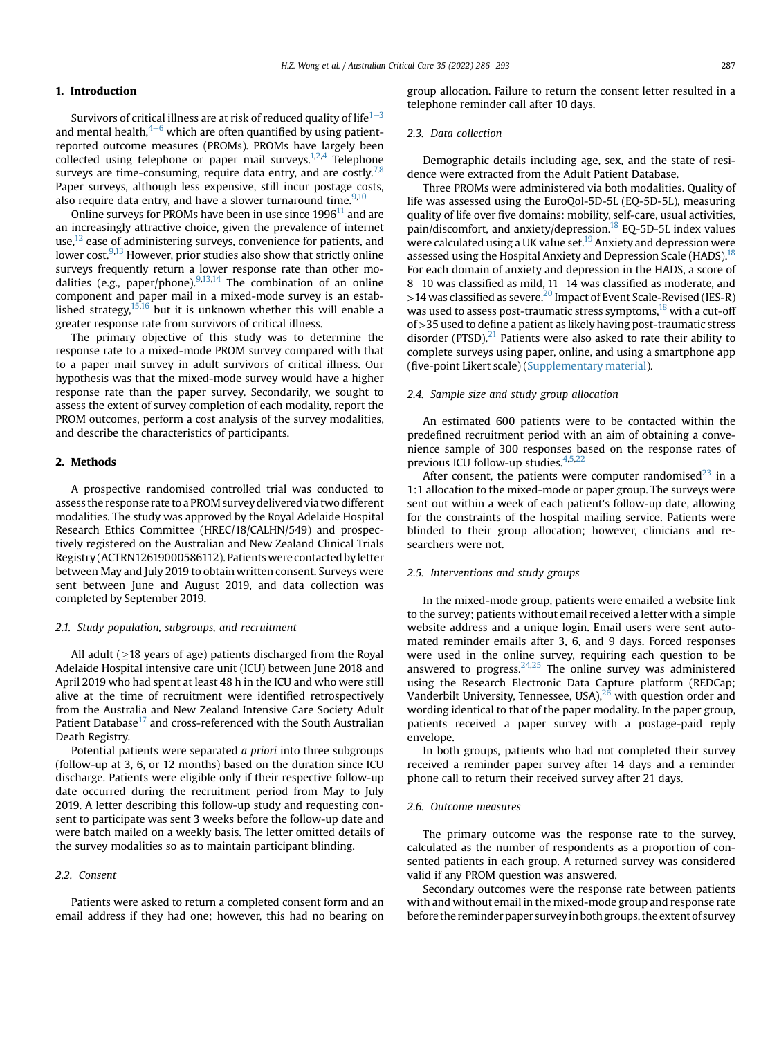#### 1. Introduction

Survivors of critical illness are at risk of reduced quality of life $1-3$  $1-3$ and mental health, $4\text{-}6$  $4\text{-}6$  $4\text{-}6$  which are often quantified by using patientreported outcome measures (PROMs). PROMs have largely been collected using telephone or paper mail surveys. $1,2,4$  $1,2,4$  $1,2,4$  $1,2,4$  Telephone surveys are time-consuming, require data entry, and are costly.<sup>[7,](#page-6-0)[8](#page-6-1)</sup> Paper surveys, although less expensive, still incur postage costs, also require data entry, and have a slower turnaround time. $9,10$  $9,10$ 

Online surveys for PROMs have been in use since  $1996<sup>11</sup>$  and are an increasingly attractive choice, given the prevalence of internet use, $12$  ease of administering surveys, convenience for patients, and lower cost.<sup>9[,13](#page-6-6)</sup> However, prior studies also show that strictly online surveys frequently return a lower response rate than other mo-dalities (e.g., paper/phone).<sup>[9](#page-6-2),[13](#page-6-6),[14](#page-6-7)</sup> The combination of an online component and paper mail in a mixed-mode survey is an estab-lished strategy,<sup>15,[16](#page-6-9)</sup> but it is unknown whether this will enable a greater response rate from survivors of critical illness.

The primary objective of this study was to determine the response rate to a mixed-mode PROM survey compared with that to a paper mail survey in adult survivors of critical illness. Our hypothesis was that the mixed-mode survey would have a higher response rate than the paper survey. Secondarily, we sought to assess the extent of survey completion of each modality, report the PROM outcomes, perform a cost analysis of the survey modalities, and describe the characteristics of participants.

### 2. Methods

A prospective randomised controlled trial was conducted to assess the response rate to a PROM survey delivered via two different modalities. The study was approved by the Royal Adelaide Hospital Research Ethics Committee (HREC/18/CALHN/549) and prospectively registered on the Australian and New Zealand Clinical Trials Registry (ACTRN12619000586112). Patients were contacted byletter between May and July 2019 to obtain written consent. Surveys were sent between June and August 2019, and data collection was completed by September 2019.

#### 2.1. Study population, subgroups, and recruitment

All adult ( $\geq$ 18 years of age) patients discharged from the Roval Adelaide Hospital intensive care unit (ICU) between June 2018 and April 2019 who had spent at least 48 h in the ICU and who were still alive at the time of recruitment were identified retrospectively from the Australia and New Zealand Intensive Care Society Adult Patient Database $17$  and cross-referenced with the South Australian Death Registry.

Potential patients were separated a priori into three subgroups (follow-up at 3, 6, or 12 months) based on the duration since ICU discharge. Patients were eligible only if their respective follow-up date occurred during the recruitment period from May to July 2019. A letter describing this follow-up study and requesting consent to participate was sent 3 weeks before the follow-up date and were batch mailed on a weekly basis. The letter omitted details of the survey modalities so as to maintain participant blinding.

### 2.2. Consent

Patients were asked to return a completed consent form and an email address if they had one; however, this had no bearing on group allocation. Failure to return the consent letter resulted in a telephone reminder call after 10 days.

#### 2.3. Data collection

Demographic details including age, sex, and the state of residence were extracted from the Adult Patient Database.

Three PROMs were administered via both modalities. Quality of life was assessed using the EuroQol-5D-5L (EQ-5D-5L), measuring quality of life over five domains: mobility, self-care, usual activities, pain/discomfort, and anxiety/depression.[18](#page-6-11) EQ-5D-5L index values were calculated using a UK value set.<sup>[19](#page-6-12)</sup> Anxiety and depression were assessed using the Hospital Anxiety and Depression Scale (HADS).<sup>18</sup> For each domain of anxiety and depression in the HADS, a score of  $8-10$  was classified as mild,  $11-14$  was classified as moderate, and  $>$  14 was classified as severe.<sup>20</sup> Impact of Event Scale-Revised (IES-R) was used to assess post-traumatic stress symptoms,<sup>18</sup> with a cut-off of >35 used to define a patient as likely having post-traumatic stress disorder (PTSD).<sup>[21](#page-6-14)</sup> Patients were also asked to rate their ability to complete surveys using paper, online, and using a smartphone app (five-point Likert scale) (Supplementary material).

#### 2.4. Sample size and study group allocation

An estimated 600 patients were to be contacted within the predefined recruitment period with an aim of obtaining a convenience sample of 300 responses based on the response rates of previous ICU follow-up studies.<sup>[4](#page-5-1)[,5](#page-6-15)[,22](#page-6-16)</sup>

After consent, the patients were computer randomised $^{23}$  $^{23}$  $^{23}$  in a 1:1 allocation to the mixed-mode or paper group. The surveys were sent out within a week of each patient's follow-up date, allowing for the constraints of the hospital mailing service. Patients were blinded to their group allocation; however, clinicians and researchers were not.

#### 2.5. Interventions and study groups

In the mixed-mode group, patients were emailed a website link to the survey; patients without email received a letter with a simple website address and a unique login. Email users were sent automated reminder emails after 3, 6, and 9 days. Forced responses were used in the online survey, requiring each question to be answered to progress. $24,25$  $24,25$  The online survey was administered using the Research Electronic Data Capture platform (REDCap; Vanderbilt University, Tennessee, USA), $^{26}$  with question order and wording identical to that of the paper modality. In the paper group, patients received a paper survey with a postage-paid reply envelope.

In both groups, patients who had not completed their survey received a reminder paper survey after 14 days and a reminder phone call to return their received survey after 21 days.

#### 2.6. Outcome measures

The primary outcome was the response rate to the survey, calculated as the number of respondents as a proportion of consented patients in each group. A returned survey was considered valid if any PROM question was answered.

Secondary outcomes were the response rate between patients with and without email in the mixed-mode group and response rate before the reminder paper surveyin both groups, the extent of survey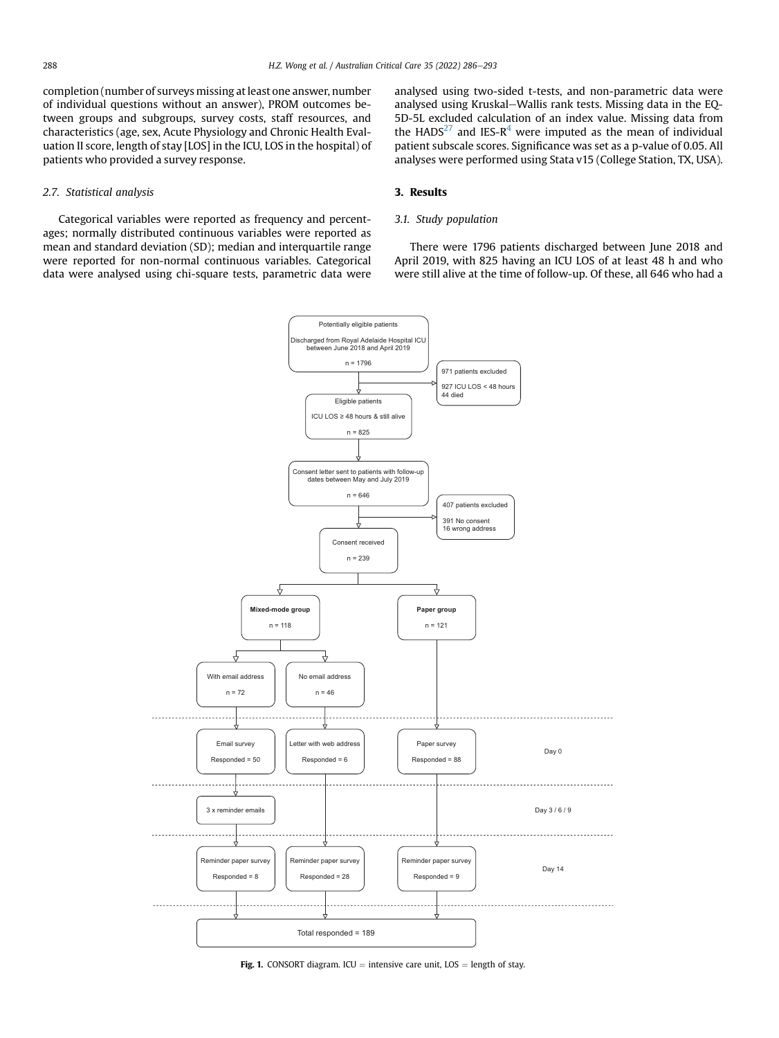completion (number of surveys missing at least one answer, number of individual questions without an answer), PROM outcomes between groups and subgroups, survey costs, staff resources, and characteristics (age, sex, Acute Physiology and Chronic Health Evaluation II score, length of stay [LOS] in the ICU, LOS in the hospital) of patients who provided a survey response.

### 2.7. Statistical analysis

<span id="page-2-0"></span>Categorical variables were reported as frequency and percentages; normally distributed continuous variables were reported as mean and standard deviation (SD); median and interquartile range were reported for non-normal continuous variables. Categorical data were analysed using chi-square tests, parametric data were analysed using two-sided t-tests, and non-parametric data were analysed using Kruskal–Wallis rank tests. Missing data in the EQ-5D-5L excluded calculation of an index value. Missing data from the HADS $^{27}$  and IES-R<sup>4</sup> were imputed as the mean of individual patient subscale scores. Significance was set as a p-value of 0.05. All analyses were performed using Stata v15 (College Station, TX, USA).

### 3. Results

### 3.1. Study population

There were 1796 patients discharged between June 2018 and April 2019, with 825 having an ICU LOS of at least 48 h and who were still alive at the time of follow-up. Of these, all 646 who had a



Fig. 1. CONSORT diagram. ICU = intensive care unit,  $LOS = length of stay$ .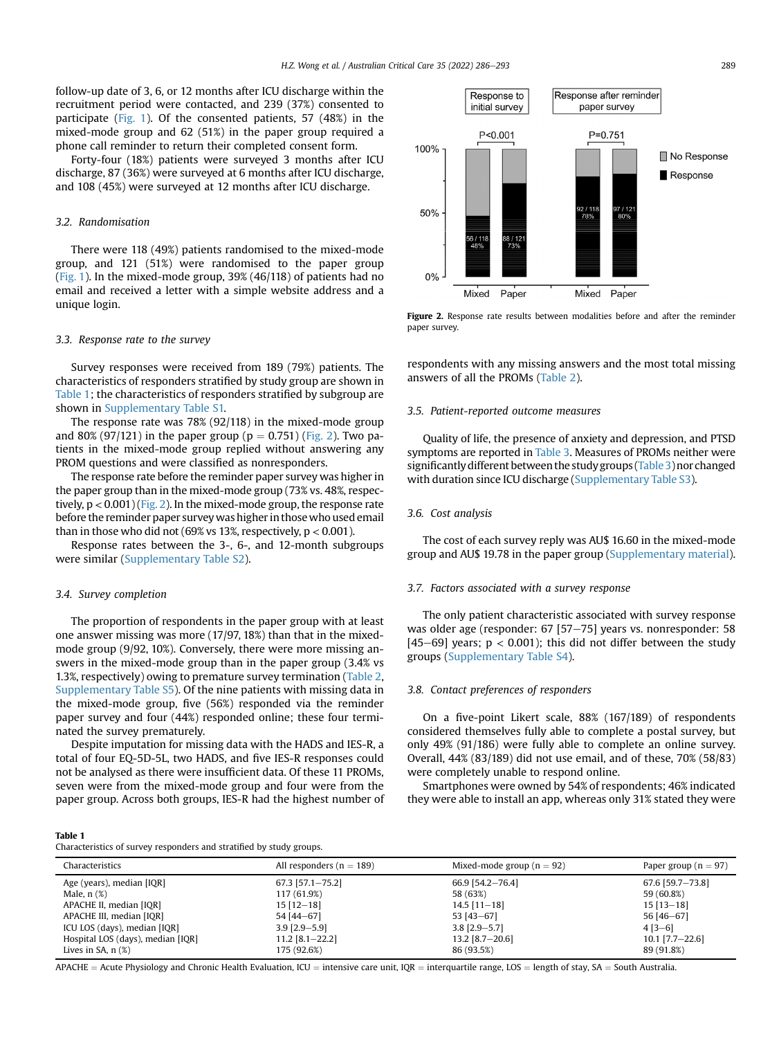follow-up date of 3, 6, or 12 months after ICU discharge within the recruitment period were contacted, and 239 (37%) consented to participate ([Fig. 1\)](#page-2-0). Of the consented patients, 57 (48%) in the mixed-mode group and 62 (51%) in the paper group required a phone call reminder to return their completed consent form.

Forty-four (18%) patients were surveyed 3 months after ICU discharge, 87 (36%) were surveyed at 6 months after ICU discharge, and 108 (45%) were surveyed at 12 months after ICU discharge.

#### 3.2. Randomisation

There were 118 (49%) patients randomised to the mixed-mode group, and 121 (51%) were randomised to the paper group ([Fig. 1](#page-2-0)). In the mixed-mode group, 39% (46/118) of patients had no email and received a letter with a simple website address and a unique login.

#### 3.3. Response rate to the survey

Survey responses were received from 189 (79%) patients. The characteristics of responders stratified by study group are shown in [Table 1](#page-3-0); the characteristics of responders stratified by subgroup are shown in Supplementary Table S1.

The response rate was 78% (92/118) in the mixed-mode group and 80% (97/121) in the paper group ( $p = 0.751$ ) [\(Fig. 2\)](#page-3-1). Two patients in the mixed-mode group replied without answering any PROM questions and were classified as nonresponders.

The response rate before the reminder paper survey was higher in the paper group than in the mixed-mode group (73% vs. 48%, respectively,  $p < 0.001$ ) ([Fig. 2\)](#page-3-1). In the mixed-mode group, the response rate before the reminder paper survey was higher in thosewho used email than in those who did not (69% vs 13%, respectively,  $p < 0.001$ ).

Response rates between the 3-, 6-, and 12-month subgroups were similar (Supplementary Table S2).

#### 3.4. Survey completion

The proportion of respondents in the paper group with at least one answer missing was more (17/97, 18%) than that in the mixedmode group (9/92, 10%). Conversely, there were more missing answers in the mixed-mode group than in the paper group (3.4% vs 1.3%, respectively) owing to premature survey termination [\(Table 2,](#page-4-0) Supplementary Table S5). Of the nine patients with missing data in the mixed-mode group, five (56%) responded via the reminder paper survey and four (44%) responded online; these four terminated the survey prematurely.

Despite imputation for missing data with the HADS and IES-R, a total of four EQ-5D-5L, two HADS, and five IES-R responses could not be analysed as there were insufficient data. Of these 11 PROMs, seven were from the mixed-mode group and four were from the paper group. Across both groups, IES-R had the highest number of

#### <span id="page-3-0"></span>Table 1

| Characteristics of survey responders and stratified by study groups. |  |
|----------------------------------------------------------------------|--|
|----------------------------------------------------------------------|--|

| Characteristics                   | All responders ( $n = 189$ ) | Mixed-mode group ( $n = 92$ ) | Paper group ( $n = 97$ ) |
|-----------------------------------|------------------------------|-------------------------------|--------------------------|
| Age (years), median [IQR]         | 67.3 [57.1-75.2]             | 66.9 [54,2-76.4]              | 67.6 [59.7-73.8]         |
| Male, $n$ $(\%)$                  | 117 (61.9%)                  | 58 (63%)                      | 59 (60.8%)               |
| APACHE II, median [IQR]           | $15$ [12-18]                 | $14.5$ [11-18]                | $15$ [13-18]             |
| APACHE III, median [IQR]          | 54 [44-67]                   | 53 [43-67]                    | 56 [46-67]               |
| ICU LOS (days), median [IQR]      | $3.9$ [2.9-5.9]              | $3.8$ [2.9-5.7]               | $4[3-6]$                 |
| Hospital LOS (days), median [IQR] | $11.2$ [8.1-22.2]            | $13.2$ [8.7-20.6]             | $10.1$ [7.7-22.6]        |
| Lives in SA, $n$ $(\%)$           | 175 (92.6%)                  | 86 (93.5%)                    | 89 (91.8%)               |

APACHE = Acute Physiology and Chronic Health Evaluation, ICU = intensive care unit, IQR = interquartile range, LOS = length of stay, SA = South Australia.

<span id="page-3-1"></span>

Figure 2. Response rate results between modalities before and after the reminder paper survey.

respondents with any missing answers and the most total missing answers of all the PROMs ([Table 2\)](#page-4-0).

#### 3.5. Patient-reported outcome measures

Quality of life, the presence of anxiety and depression, and PTSD symptoms are reported in [Table 3.](#page-5-3) Measures of PROMs neither were significantly different between the study groups [\(Table 3](#page-5-3)) nor changed with duration since ICU discharge (Supplementary Table S3).

#### 3.6. Cost analysis

The cost of each survey reply was AU\$ 16.60 in the mixed-mode group and AU\$ 19.78 in the paper group (Supplementary material).

#### 3.7. Factors associated with a survey response

The only patient characteristic associated with survey response was older age (responder:  $67$  [57–75] years vs. nonresponder: 58 [45-69] years;  $p < 0.001$ ); this did not differ between the study groups (Supplementary Table S4).

#### 3.8. Contact preferences of responders

On a five-point Likert scale, 88% (167/189) of respondents considered themselves fully able to complete a postal survey, but only 49% (91/186) were fully able to complete an online survey. Overall, 44% (83/189) did not use email, and of these, 70% (58/83) were completely unable to respond online.

Smartphones were owned by 54% of respondents; 46% indicated they were able to install an app, whereas only 31% stated they were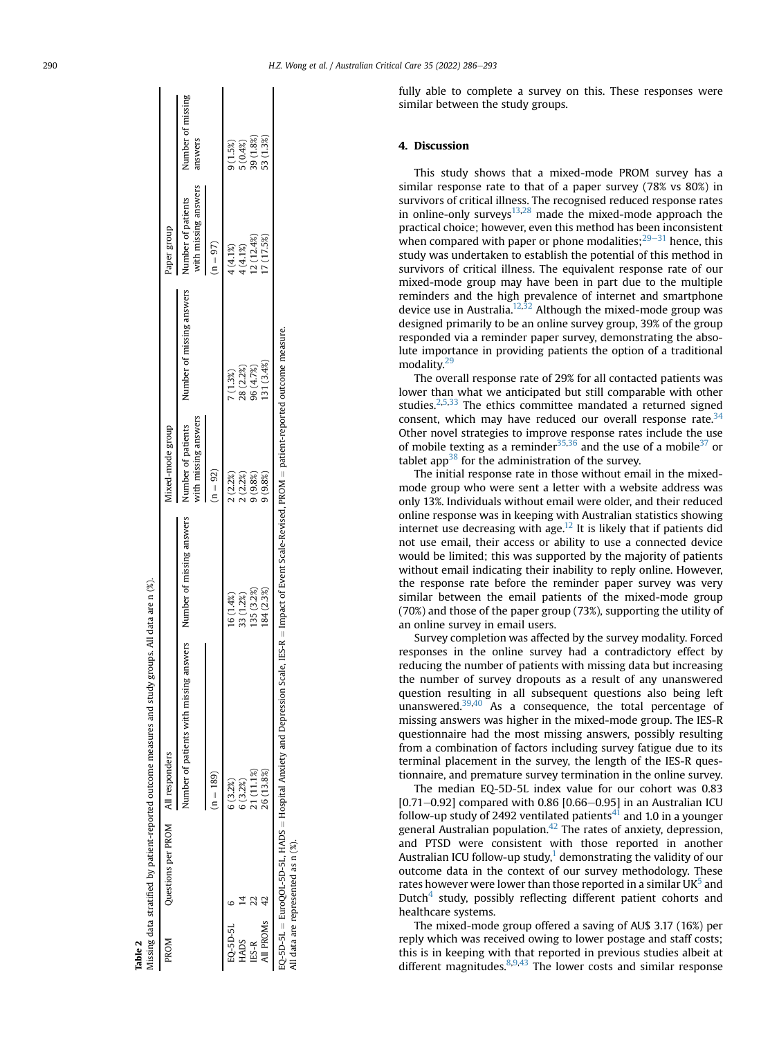<span id="page-4-0"></span>

| PROM                  | Questions per PROM All responders |                                                                   |            | Mixed-mode group                           |                           | dho.18 abe                                 |                                                      |
|-----------------------|-----------------------------------|-------------------------------------------------------------------|------------|--------------------------------------------|---------------------------|--------------------------------------------|------------------------------------------------------|
|                       |                                   | Number of patients with missing answers Number of missing answers |            | with missing answers<br>Number of patients | Number of missing answers | with missing answers<br>Number of patients | Number of missing<br>answers                         |
|                       |                                   | $(n = 189)$                                                       |            | $n = 92$                                   |                           | $(n = 97)$                                 |                                                      |
| EQ-5D-5L              |                                   | 6(3.2%)                                                           | 16(1.4%)   |                                            | 7(1.3%)                   | 4(4.1%)                                    |                                                      |
| <b>HADS</b>           |                                   | 6(3.2%)                                                           | 33(1.2%)   | 2 (2.2%)<br>2 (2.2%)                       | 28 (2.2%)                 | 4(4.1%)                                    | $9(1.5%)$<br>5 $(0.4%)$<br>3 $9(1.3%)$<br>3 $(1.3%)$ |
| <b>IES-R</b>          |                                   | $21(11.1\%)$                                                      | 135 (3.2%) | (9.8%)                                     | 96 (4.7%)                 | 12 (12.4%)                                 |                                                      |
| All PROM <sub>S</sub> |                                   | 26 (13.8%)                                                        | 184 (2.3%) | (9.8%)                                     | 131 (3.4%)                | $17(17.5\%)$                               |                                                      |

fully able to complete a survey on this. These responses were similar between the study groups.

### 4. Discussion

This study shows that a mixed-mode PROM survey has a similar response rate to that of a paper survey (78% vs 80%) in survivors of critical illness. The recognised reduced response rates in online-only surveys $^{13,28}$  $^{13,28}$  $^{13,28}$  $^{13,28}$  made the mixed-mode approach the practical choice; however, even this method has been inconsistent when compared with paper or phone modalities; $^{29-31}$  $^{29-31}$  $^{29-31}$  hence, this study was undertaken to establish the potential of this method in survivors of critical illness. The equivalent response rate of our mixed-mode group may have been in part due to the multiple reminders and the high prevalence of internet and smartphone device use in Australia.<sup>12[,32](#page-6-24)</sup> Although the mixed-mode group was designed primarily to be an online survey group, 39% of the group responded via a reminder paper survey, demonstrating the absolute importance in providing patients the option of a traditional modality.<sup>[29](#page-6-23)</sup>

The overall response rate of 29% for all contacted patients was lower than what we anticipated but still comparable with other studies. $2,5,33$  $2,5,33$  $2,5,33$  $2,5,33$  $2,5,33$  The ethics committee mandated a returned signed consent, which may have reduced our overall response rate. $34$ Other novel strategies to improve response rates include the use of mobile texting as a reminder  $35,36$  $35,36$  and the use of a mobile  $37$  or tablet app<sup>[38](#page-6-30)</sup> for the administration of the survey.

The initial response rate in those without email in the mixedmode group who were sent a letter with a website address was only 13%. Individuals without email were older, and their reduced online response was in keeping with Australian statistics showing internet use decreasing with age.<sup>12</sup> It is likely that if patients did not use email, their access or ability to use a connected device would be limited; this was supported by the majority of patients without email indicating their inability to reply online. However, the response rate before the reminder paper survey was very similar between the email patients of the mixed-mode group (70%) and those of the paper group (73%), supporting the utility of an online survey in email users.

Survey completion was affected by the survey modality. Forced responses in the online survey had a contradictory effect by reducing the number of patients with missing data but increasing the number of survey dropouts as a result of any unanswered question resulting in all subsequent questions also being left unanswered[.39,](#page-6-31)[40](#page-6-32) As a consequence, the total percentage of missing answers was higher in the mixed-mode group. The IES-R questionnaire had the most missing answers, possibly resulting from a combination of factors including survey fatigue due to its terminal placement in the survey, the length of the IES-R questionnaire, and premature survey termination in the online survey.

The median EQ-5D-5L index value for our cohort was 0.83  $[0.71-0.92]$  compared with 0.86  $[0.66-0.95]$  in an Australian ICU follow-up study of 2492 ventilated patients $4\overline{1}$  and 1.0 in a younger general Australian population. $42$  The rates of anxiety, depression, and PTSD were consistent with those reported in another Australian ICU follow-up study, $1$  demonstrating the validity of our outcome data in the context of our survey methodology. These rates however were lower than those reported in a similar  $UK<sup>5</sup>$  and Dutch $4$  study, possibly reflecting different patient cohorts and healthcare systems.

The mixed-mode group offered a saving of AU\$ 3.17 (16%) per reply which was received owing to lower postage and staff costs; this is in keeping with that reported in previous studies albeit at different magnitudes.<sup>8[,9](#page-6-2)[,43](#page-7-1)</sup> The lower costs and similar response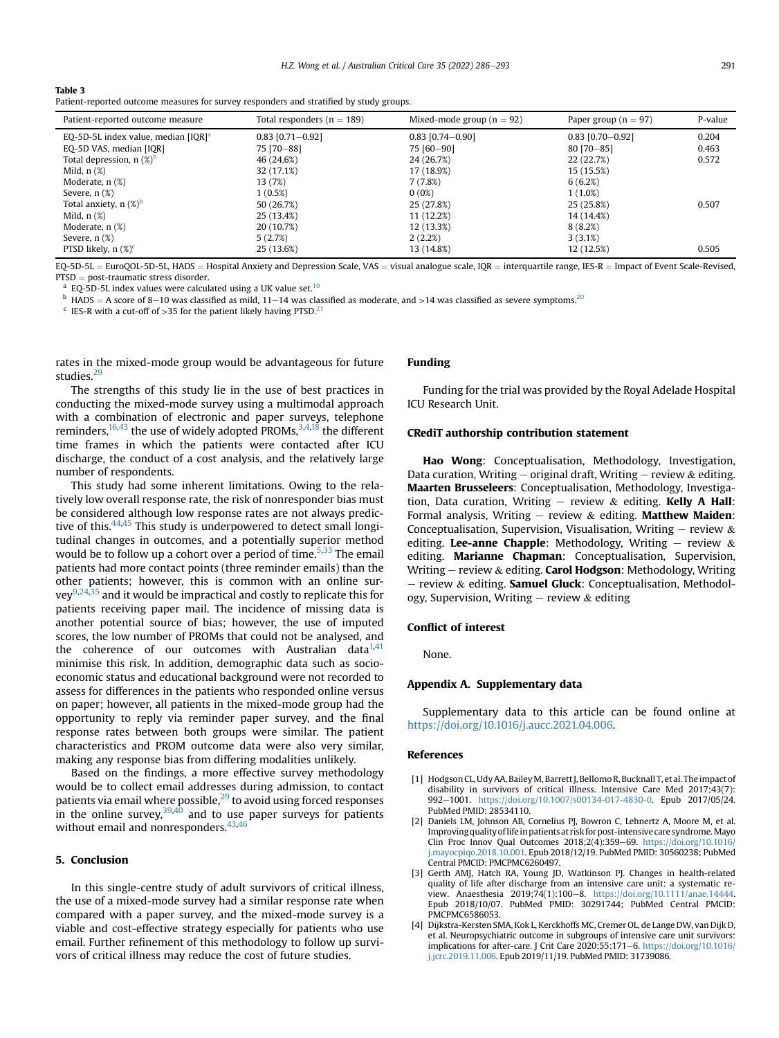<span id="page-5-3"></span>

|  | Patient-reported outcome measures for survey responders and stratified by study groups. |  |  |  |  |
|--|-----------------------------------------------------------------------------------------|--|--|--|--|
|--|-----------------------------------------------------------------------------------------|--|--|--|--|

| Patient-reported outcome measure                  | Total responders ( $n = 189$ ) | Mixed-mode group ( $n = 92$ ) | Paper group ( $n = 97$ ) | P-value |
|---------------------------------------------------|--------------------------------|-------------------------------|--------------------------|---------|
| EQ-5D-5L index value, median $[1QR]$ <sup>a</sup> | $0.83$ [0.71-0.92]             | $0.83$ [0.74-0.90]            | $0.83$ [0.70-0.92]       | 0.204   |
| EQ-5D VAS, median [IQR]                           | 75 [70-88]                     | 75 [60-90]                    | $80$ [70-85]             | 0.463   |
| Total depression, $n$ (%) <sup>b</sup>            | 46 (24.6%)                     | 24 (26.7%)                    | 22 (22.7%)               | 0.572   |
| Mild, $n$ $(\%)$                                  | 32 (17.1%)                     | 17 (18.9%)                    | 15 (15.5%)               |         |
| Moderate, $n$ $(\%)$                              | 13 (7%)                        | 7(7.8%)                       | 6(6.2%)                  |         |
| Severe, $n$ $(\%)$                                | 1(0.5%)                        | $0(0\%)$                      | $1(1.0\%)$               |         |
| Total anxiety, $n$ (%) <sup>b</sup>               | 50 (26.7%)                     | 25 (27.8%)                    | 25 (25.8%)               | 0.507   |
| Mild, $n$ $(\%)$                                  | 25 (13.4%)                     | 11 (12.2%)                    | 14 (14.4%)               |         |
| Moderate, $n$ $(\%)$                              | 20 (10.7%)                     | 12 (13.3%)                    | 8(8.2%)                  |         |
| Severe, $n$ $(\%)$                                | 5(2.7%)                        | 2(2.2%)                       | 3(3.1%)                  |         |
| PTSD likely, $n$ (%) <sup>c</sup>                 | 25 (13.6%)                     | 13 (14.8%)                    | 12 (12.5%)               | 0.505   |

 $EQ-5D-5L = EuroQOL-5D-5L$ , HADS = Hospital Anxiety and Depression Scale, VAS = visual analogue scale, IQR = interquartile range, IES-R = Impact of Event Scale-Revised, PTSD = post-traumatic stress disorder.

<span id="page-5-5"></span> $P^a$  EQ-5D-5L index values were calculated using a UK value set.<sup>19</sup>

<span id="page-5-6"></span> $b$  HADS = A score of 8–10 was classified as mild, 11–14 was classified as moderate, and >14 was classified as severe symptoms.<sup>[20](#page-6-13)</sup>

<span id="page-5-7"></span> $\epsilon$  IES-R with a cut-off of >35 for the patient likely having PTSD.<sup>2</sup>

rates in the mixed-mode group would be advantageous for future studies.<sup>29</sup>

The strengths of this study lie in the use of best practices in conducting the mixed-mode survey using a multimodal approach with a combination of electronic and paper surveys, telephone reminders,  $16,43$  $16,43$  the use of widely adopted PROMs,  $3,4,18$  $3,4,18$  $3,4,18$  the different time frames in which the patients were contacted after ICU discharge, the conduct of a cost analysis, and the relatively large number of respondents.

This study had some inherent limitations. Owing to the relatively low overall response rate, the risk of nonresponder bias must be considered although low response rates are not always predictive of this. $44,45$  $44,45$  This study is underpowered to detect small longitudinal changes in outcomes, and a potentially superior method would be to follow up a cohort over a period of time.<sup>5,[33](#page-6-25)</sup> The email patients had more contact points (three reminder emails) than the other patients; however, this is common with an online sur- $\text{veV}^{9,24,35}$  $\text{veV}^{9,24,35}$  $\text{veV}^{9,24,35}$  $\text{veV}^{9,24,35}$  $\text{veV}^{9,24,35}$  $\text{veV}^{9,24,35}$  and it would be impractical and costly to replicate this for patients receiving paper mail. The incidence of missing data is another potential source of bias; however, the use of imputed scores, the low number of PROMs that could not be analysed, and the coherence of our outcomes with Australian data $1,41$  $1,41$ minimise this risk. In addition, demographic data such as socioeconomic status and educational background were not recorded to assess for differences in the patients who responded online versus on paper; however, all patients in the mixed-mode group had the opportunity to reply via reminder paper survey, and the final response rates between both groups were similar. The patient characteristics and PROM outcome data were also very similar, making any response bias from differing modalities unlikely.

Based on the findings, a more effective survey methodology would be to collect email addresses during admission, to contact patients via email where possible,<sup>[29](#page-6-23)</sup> to avoid using forced responses in the online survey,  $39,40$  $39,40$  and to use paper surveys for patients without email and nonresponders. $43,46$  $43,46$ 

### 5. Conclusion

In this single-centre study of adult survivors of critical illness, the use of a mixed-mode survey had a similar response rate when compared with a paper survey, and the mixed-mode survey is a viable and cost-effective strategy especially for patients who use email. Further refinement of this methodology to follow up survivors of critical illness may reduce the cost of future studies.

#### Funding

Funding for the trial was provided by the Royal Adelade Hospital ICU Research Unit.

### CRediT authorship contribution statement

Hao Wong: Conceptualisation, Methodology, Investigation, Data curation, Writing  $-$  original draft, Writing  $-$  review & editing. Maarten Brusseleers: Conceptualisation, Methodology, Investigation, Data curation, Writing  $-$  review  $\&$  editing. Kelly A Hall: Formal analysis, Writing  $-$  review & editing. **Matthew Maiden:** Conceptualisation, Supervision, Visualisation, Writing – review  $\&$ editing. Lee-anne Chapple: Methodology, Writing – review  $\&$ editing. Marianne Chapman: Conceptualisation, Supervision, Writing – review & editing. Carol Hodgson: Methodology, Writing - review & editing. **Samuel Gluck**: Conceptualisation, Methodology, Supervision, Writing  $-$  review & editing

#### Conflict of interest

None.

#### Appendix A. Supplementary data

Supplementary data to this article can be found online at [https://doi.org/10.1016/j.aucc.2021.04.006.](https://doi.org/10.1016/j.aucc.2021.04.006)

#### References

- <span id="page-5-0"></span>[1] Hodgson CL, Udy AA, Bailey M, Barrett J, Bellomo R, Bucknall T, et al. The impact of disability in survivors of critical illness. Intensive Care Med 2017;43(7): 992-1001. [https://doi.org/10.1007/s00134-017-4830-0.](https://doi.org/10.1007/s00134-017-4830-0) Epub 2017/05/24. PubMed PMID: 28534110.
- <span id="page-5-2"></span>[2] Daniels LM, Johnson AB, Cornelius PJ, Bowron C, Lehnertz A, Moore M, et al. Improvingquality oflifein patients at risk for post-intensive care syndrome.Mayo Clin Proc Innov Qual Outcomes 2018;2(4):359-69. [https://doi.org/10.1016/](https://doi.org/10.1016/j.mayocpiqo.2018.10.001) [j.mayocpiqo.2018.10.001](https://doi.org/10.1016/j.mayocpiqo.2018.10.001). Epub 2018/12/19. PubMed PMID: 30560238; PubMed Central PMCID: PMCPMC6260497.
- <span id="page-5-4"></span>[3] Gerth AMJ, Hatch RA, Young JD, Watkinson PJ. Changes in health-related quality of life after discharge from an intensive care unit: a systematic review. Anaesthesia 2019;74(1):100-8. <https://doi.org/10.1111/anae.14444>. Epub 2018/10/07. PubMed PMID: 30291744; PubMed Central PMCID: PMCPMC6586053.
- <span id="page-5-1"></span>[4] Dijkstra-Kersten SMA, Kok L, Kerckhoffs MC, Cremer OL, de Lange DW, van Dijk D, et al. Neuropsychiatric outcome in subgroups of intensive care unit survivors: implications for after-care. J Crit Care  $2020;55;171-6$ . [https://doi.org/10.1016/](https://doi.org/10.1016/j.jcrc.2019.11.006) [j.jcrc.2019.11.006](https://doi.org/10.1016/j.jcrc.2019.11.006). Epub 2019/11/19. PubMed PMID: 31739086.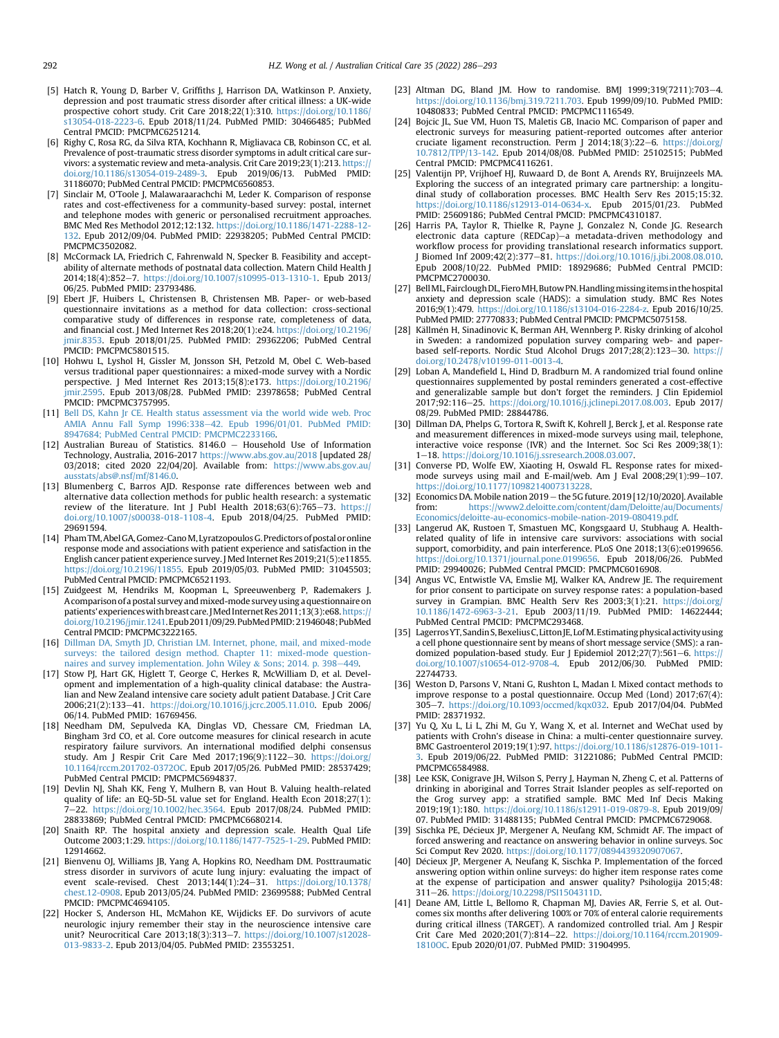- <span id="page-6-15"></span>[5] Hatch R, Young D, Barber V, Griffiths J, Harrison DA, Watkinson P. Anxiety, depression and post traumatic stress disorder after critical illness: a UK-wide prospective cohort study. Crit Care 2018;22(1):310. [https://doi.org/10.1186/](https://doi.org/10.1186/s13054-018-2223-6) [s13054-018-2223-6](https://doi.org/10.1186/s13054-018-2223-6). Epub 2018/11/24. PubMed PMID: 30466485; PubMed Central PMCID: PMCPMC6251214.
- [6] Righy C, Rosa RG, da Silva RTA, Kochhann R, Migliavaca CB, Robinson CC, et al. Prevalence of post-traumatic stress disorder symptoms in adult critical care survivors: a systematic review and meta-analysis. Crit Care 2019;23(1):213. [https://](https://doi.org/10.1186/s13054-019-2489-3) [doi.org/10.1186/s13054-019-2489-3.](https://doi.org/10.1186/s13054-019-2489-3) Epub 2019/06/13. PubMed PMID: 31186070; PubMed Central PMCID: PMCPMC6560853.
- <span id="page-6-0"></span>[7] Sinclair M, O'Toole J, Malawaraarachchi M, Leder K. Comparison of response rates and cost-effectiveness for a community-based survey: postal, internet and telephone modes with generic or personalised recruitment approaches. BMC Med Res Methodol 2012;12:132. [https://doi.org/10.1186/1471-2288-12-](https://doi.org/10.1186/1471-2288-12-132) [132](https://doi.org/10.1186/1471-2288-12-132). Epub 2012/09/04. PubMed PMID: 22938205; PubMed Central PMCID: PMCPMC3502082.
- <span id="page-6-1"></span>[8] McCormack LA, Friedrich C, Fahrenwald N, Specker B, Feasibility and acceptability of alternate methods of postnatal data collection. Matern Child Health J 2014;18(4):852-7. [https://doi.org/10.1007/s10995-013-1310-1.](https://doi.org/10.1007/s10995-013-1310-1) Epub 2013/ 06/25. PubMed PMID: 23793486.
- <span id="page-6-2"></span>[9] Ebert JF, Huibers L, Christensen B, Christensen MB. Paper- or web-based questionnaire invitations as a method for data collection: cross-sectional comparative study of differences in response rate, completeness of data, and financial cost. J Med Internet Res 2018;20(1):e24. [https://doi.org/10.2196/](https://doi.org/10.2196/jmir.8353) [jmir.8353](https://doi.org/10.2196/jmir.8353). Epub 2018/01/25. PubMed PMID: 29362206; PubMed Central PMCID: PMCPMC5801515.
- <span id="page-6-3"></span>[10] Hohwu L, Lyshol H, Gissler M, Jonsson SH, Petzold M, Obel C. Web-based versus traditional paper questionnaires: a mixed-mode survey with a Nordic perspective. J Med Internet Res 2013;15(8):e173. [https://doi.org/10.2196/](https://doi.org/10.2196/jmir.2595) [jmir.2595.](https://doi.org/10.2196/jmir.2595) Epub 2013/08/28. PubMed PMID: 23978658; PubMed Central PMCID: PMCPMC3757995.
- <span id="page-6-4"></span>[11] [Bell DS, Kahn Jr CE. Health status assessment via the world wide web. Proc](http://refhub.elsevier.com/S1036-7314(21)00062-X/sref11) [AMIA Annu Fall Symp 1996:338](http://refhub.elsevier.com/S1036-7314(21)00062-X/sref11)-[42. Epub 1996/01/01. PubMed PMID:](http://refhub.elsevier.com/S1036-7314(21)00062-X/sref11) [8947684; PubMed Central PMCID: PMCPMC2233166.](http://refhub.elsevier.com/S1036-7314(21)00062-X/sref11)
- <span id="page-6-5"></span>[12] Australian Bureau of Statistics.  $8146.0$  - Household Use of Information Technology, Australia, 2016-2017 <https://www.abs.gov.au/2018> [updated 28/ 03/2018; cited 2020 22/04/20]. Available from: [https://www.abs.gov.au/](https://www.abs.gov.au/ausstats/abs@.nsf/mf/8146.0) [ausstats/abs@.nsf/mf/8146.0.](https://www.abs.gov.au/ausstats/abs@.nsf/mf/8146.0)
- <span id="page-6-6"></span>[13] Blumenberg C, Barros AJD. Response rate differences between web and alternative data collection methods for public health research: a systematic review of the literature. Int J Publ Health  $2018;63(6):765-73$ . https: [doi.org/10.1007/s00038-018-1108-4](https://doi.org/10.1007/s00038-018-1108-4). Epub 2018/04/25. PubMed PMID: 29691594.
- <span id="page-6-7"></span>[14] Pham TM, Abel GA, Gomez-Cano M, Lyratzopoulos G. Predictors of postal or online response mode and associations with patient experience and satisfaction in the English cancer patient experience survey. J Med Internet Res 2019;21(5):e11855. [https://doi.org/10.2196/11855.](https://doi.org/10.2196/11855) Epub 2019/05/03. PubMed PMID: 31045503; PubMed Central PMCID: PMCPMC6521193.
- <span id="page-6-8"></span>[15] Zuidgeest M, Hendriks M, Koopman L, Spreeuwenberg P, Rademakers J. A comparison of a postal survey andmixed-mode survey using a questionnaire on patients' experiences with breast care. J Med Internet Res 2011;13(3):e68. https:/ [doi.org/10.2196/jmir.1241.](https://doi.org/10.2196/jmir.1241) Epub2011/09/29.PubMedPMID:21946048;PubMed Central PMCID: PMCPMC3222165.
- <span id="page-6-9"></span>[16] [Dillman DA, Smyth JD, Christian LM. Internet, phone, mail, and mixed-mode](http://refhub.elsevier.com/S1036-7314(21)00062-X/sref16) [surveys: the tailored design method. Chapter 11: mixed-mode question](http://refhub.elsevier.com/S1036-7314(21)00062-X/sref16)[naires and survey implementation. John Wiley](http://refhub.elsevier.com/S1036-7314(21)00062-X/sref16) & [Sons; 2014. p. 398](http://refhub.elsevier.com/S1036-7314(21)00062-X/sref16)-[449](http://refhub.elsevier.com/S1036-7314(21)00062-X/sref16).
- <span id="page-6-10"></span>[17] Stow PJ, Hart GK, Higlett T, George C, Herkes R, McWilliam D, et al. Development and implementation of a high-quality clinical database: the Australian and New Zealand intensive care society adult patient Database. J Crit Care 2006;21(2):133-41. [https://doi.org/10.1016/j.jcrc.2005.11.010.](https://doi.org/10.1016/j.jcrc.2005.11.010) Epub 2006/ 06/14. PubMed PMID: 16769456.
- <span id="page-6-11"></span>[18] Needham DM, Sepulveda KA, Dinglas VD, Chessare CM, Friedman LA, Bingham 3rd CO, et al. Core outcome measures for clinical research in acute respiratory failure survivors. An international modified delphi consensus study. Am J Respir Crit Care Med 2017;196(9):1122-30. [https://doi.org/](https://doi.org/10.1164/rccm.201702-0372OC) [10.1164/rccm.201702-0372OC](https://doi.org/10.1164/rccm.201702-0372OC). Epub 2017/05/26. PubMed PMID: 28537429; PubMed Central PMCID: PMCPMC5694837.
- <span id="page-6-12"></span>[19] Devlin NJ, Shah KK, Feng Y, Mulhern B, van Hout B. Valuing health-related quality of life: an EQ-5D-5L value set for England. Health Econ 2018;27(1): 7-22. [https://doi.org/10.1002/hec.3564.](https://doi.org/10.1002/hec.3564) Epub 2017/08/24. PubMed PMID: 28833869; PubMed Central PMCID: PMCPMC6680214.
- <span id="page-6-13"></span>[20] Snaith RP. The hospital anxiety and depression scale. Health Qual Life Outcome 2003;1:29. [https://doi.org/10.1186/1477-7525-1-29.](https://doi.org/10.1186/1477-7525-1-29) PubMed PMID: 12914662.
- <span id="page-6-14"></span>[21] Bienvenu OJ, Williams JB, Yang A, Hopkins RO, Needham DM. Posttraumatic stress disorder in survivors of acute lung injury: evaluating the impact of event scale-revised. Chest  $2013;144(1):24-31$ . [https://doi.org/10.1378/](https://doi.org/10.1378/chest.12-0908) [chest.12-0908.](https://doi.org/10.1378/chest.12-0908) Epub 2013/05/24. PubMed PMID: 23699588; PubMed Central PMCID: PMCPMC4694105.
- <span id="page-6-16"></span>[22] Hocker S, Anderson HL, McMahon KE, Wijdicks EF. Do survivors of acute neurologic injury remember their stay in the neuroscience intensive care unit? Neurocritical Care 2013;18(3):313-7. [https://doi.org/10.1007/s12028-](https://doi.org/10.1007/s12028-013-9833-2) [013-9833-2.](https://doi.org/10.1007/s12028-013-9833-2) Epub 2013/04/05. PubMed PMID: 23553251.
- <span id="page-6-17"></span>[23] Altman DG, Bland JM. How to randomise. BMJ 1999;319(7211):703-4. [https://doi.org/10.1136/bmj.319.7211.703.](https://doi.org/10.1136/bmj.319.7211.703) Epub 1999/09/10. PubMed PMID: 10480833; PubMed Central PMCID: PMCPMC1116549.
- <span id="page-6-18"></span>[24] Bojcic JL, Sue VM, Huon TS, Maletis GB, Inacio MC. Comparison of paper and electronic surveys for measuring patient-reported outcomes after anterior<br>cruciate ligament reconstruction. Perm J 2014;18(3):22-6. [https://doi.org/](https://doi.org/10.7812/TPP/13-142) [10.7812/TPP/13-142.](https://doi.org/10.7812/TPP/13-142) Epub 2014/08/08. PubMed PMID: 25102515; PubMed Central PMCID: PMCPMC4116261.
- <span id="page-6-19"></span>[25] Valentijn PP, Vrijhoef HJ, Ruwaard D, de Bont A, Arends RY, Bruijnzeels MA. Exploring the success of an integrated primary care partnership: a longitudinal study of collaboration processes. BMC Health Serv Res 2015;15:32. [https://doi.org/10.1186/s12913-014-0634-x.](https://doi.org/10.1186/s12913-014-0634-x) Epub 2015/01/23. PubMed PMID: 25609186; PubMed Central PMCID: PMCPMC4310187.
- <span id="page-6-20"></span>[26] Harris PA, Taylor R, Thielke R, Payne J, Gonzalez N, Conde JG. Research electronic data capture (REDCap)-a metadata-driven methodology and workflow process for providing translational research informatics support. J Biomed Inf 2009;42(2):377e81. <https://doi.org/10.1016/j.jbi.2008.08.010>. Epub 2008/10/22. PubMed PMID: 18929686; PubMed Central PMCID: PMCPMC2700030.
- <span id="page-6-21"></span>[27] Bell ML, Fairclough DL, Fiero MH, Butow PN. Handling missing items in the hospital anxiety and depression scale (HADS): a simulation study. BMC Res Notes 2016;9(1):479. [https://doi.org/10.1186/s13104-016-2284-z.](https://doi.org/10.1186/s13104-016-2284-z) Epub 2016/10/25. PubMed PMID: 27770833; PubMed Central PMCID: PMCPMC5075158.
- <span id="page-6-22"></span>[28] Källmén H, Sinadinovic K, Berman AH, Wennberg P. Risky drinking of alcohol in Sweden: a randomized population survey comparing web- and paperbased self-reports. Nordic Stud Alcohol Drugs 2017;28(2):123-30. [https://](https://doi.org/10.2478/v10199-011-0013-4) [doi.org/10.2478/v10199-011-0013-4](https://doi.org/10.2478/v10199-011-0013-4).
- <span id="page-6-23"></span>[29] Loban A, Mandefield L, Hind D, Bradburn M. A randomized trial found online questionnaires supplemented by postal reminders generated a cost-effective and generalizable sample but don't forget the reminders. J Clin Epidemiol 2017;92:116-25. <https://doi.org/10.1016/j.jclinepi.2017.08.003>. Epub 2017/ 08/29. PubMed PMID: 28844786.
- [30] Dillman DA, Phelps G, Tortora R, Swift K, Kohrell J, Berck J, et al. Response rate and measurement differences in mixed-mode surveys using mail, telephone, interactive voice response (IVR) and the Internet. Soc Sci Res 2009;38(1): 1-18. <https://doi.org/10.1016/j.ssresearch.2008.03.007>.
- [31] Converse PD, Wolfe EW, Xiaoting H, Oswald FL. Response rates for mixedmode surveys using mail and E-mail/web. Am J Eval 2008;29(1):99-107. <https://doi.org/10.1177/1098214007313228>.
- <span id="page-6-24"></span>[32] Economics DA. Mobile nation  $2019 -$  the 5G future. 2019 [12/10/2020]. Available from: [https://www2.deloitte.com/content/dam/Deloitte/au/Documents/](https://www2.deloitte.com/content/dam/Deloitte/au/Documents/Economics/deloitte-au-economics-mobile-nation-2019-080419.pdf) [Economics/deloitte-au-economics-mobile-nation-2019-080419.pdf](https://www2.deloitte.com/content/dam/Deloitte/au/Documents/Economics/deloitte-au-economics-mobile-nation-2019-080419.pdf).
- <span id="page-6-25"></span>[33] Langerud AK, Rustoen T, Smastuen MC, Kongsgaard U, Stubhaug A. Healthrelated quality of life in intensive care survivors: associations with social support, comorbidity, and pain interference. PLoS One 2018;13(6):e0199656. <https://doi.org/10.1371/journal.pone.0199656>. Epub 2018/06/26. PubMed PMID: 29940026; PubMed Central PMCID: PMCPMC6016908.
- <span id="page-6-26"></span>[34] Angus VC, Entwistle VA, Emslie MJ, Walker KA, Andrew JE. The requirement for prior consent to participate on survey response rates: a population-based survey in Grampian. BMC Health Serv Res 2003;3(1):21. https://doi.org [10.1186/1472-6963-3-21.](https://doi.org/10.1186/1472-6963-3-21) Epub 2003/11/19. PubMed PMID: 14622444; PubMed Central PMCID: PMCPMC293468.
- <span id="page-6-27"></span>[35] Lagerros YT, Sandin S, Bexelius C, Litton JE, Lof M. Estimating physical activity using a cell phone questionnaire sent by means of short message service (SMS): a randomized population-based study. Eur J Epidemiol 2012;27(7):561-6. https:/ [doi.org/10.1007/s10654-012-9708-4](https://doi.org/10.1007/s10654-012-9708-4). Epub 2012/06/30. PubMed PMID: 22744733.
- <span id="page-6-28"></span>[36] Weston D, Parsons V, Ntani G, Rushton L, Madan I. Mixed contact methods to improve response to a postal questionnaire. Occup Med (Lond) 2017;67(4): 305-7. [https://doi.org/10.1093/occmed/kqx032.](https://doi.org/10.1093/occmed/kqx032) Epub 2017/04/04. PubMed PMID: 28371932.
- <span id="page-6-29"></span>[37] Yu Q, Xu L, Li L, Zhi M, Gu Y, Wang X, et al. Internet and WeChat used by patients with Crohn's disease in China: a multi-center questionnaire survey. BMC Gastroenterol 2019;19(1):97. [https://doi.org/10.1186/s12876-019-1011-](https://doi.org/10.1186/s12876-019-1011-3) [3.](https://doi.org/10.1186/s12876-019-1011-3) Epub 2019/06/22. PubMed PMID: 31221086; PubMed Central PMCID: PMCPMC6584988.
- <span id="page-6-30"></span>[38] Lee KSK, Conigrave JH, Wilson S, Perry J, Hayman N, Zheng C, et al. Patterns of drinking in aboriginal and Torres Strait Islander peoples as self-reported on the Grog survey app: a stratified sample. BMC Med Inf Decis Making 2019;19(1):180. [https://doi.org/10.1186/s12911-019-0879-8.](https://doi.org/10.1186/s12911-019-0879-8) Epub 2019/09/ 07. PubMed PMID: 31488135; PubMed Central PMCID: PMCPMC6729068.
- <span id="page-6-31"></span>[39] Sischka PE, Décieux JP, Mergener A, Neufang KM, Schmidt AF. The impact of forced answering and reactance on answering behavior in online surveys. Soc Sci Comput Rev 2020. <https://doi.org/10.1177/0894439320907067>.
- <span id="page-6-32"></span>[40] Décieux JP, Mergener A, Neufang K, Sischka P. Implementation of the forced answering option within online surveys: do higher item response rates come at the expense of participation and answer quality? Psihologija 2015;48: 311e26. [https://doi.org/10.2298/PSI1504311D.](https://doi.org/10.2298/PSI1504311D)
- <span id="page-6-33"></span>[41] Deane AM, Little L, Bellomo R, Chapman MJ, Davies AR, Ferrie S, et al. Outcomes six months after delivering 100% or 70% of enteral calorie requirements during critical illness (TARGET). A randomized controlled trial. Am J Respir Crit Care Med 2020;201(7):814-22. [https://doi.org/10.1164/rccm.201909-](https://doi.org/10.1164/rccm.201909-1810OC) [1810OC.](https://doi.org/10.1164/rccm.201909-1810OC) Epub 2020/01/07. PubMed PMID: 31904995.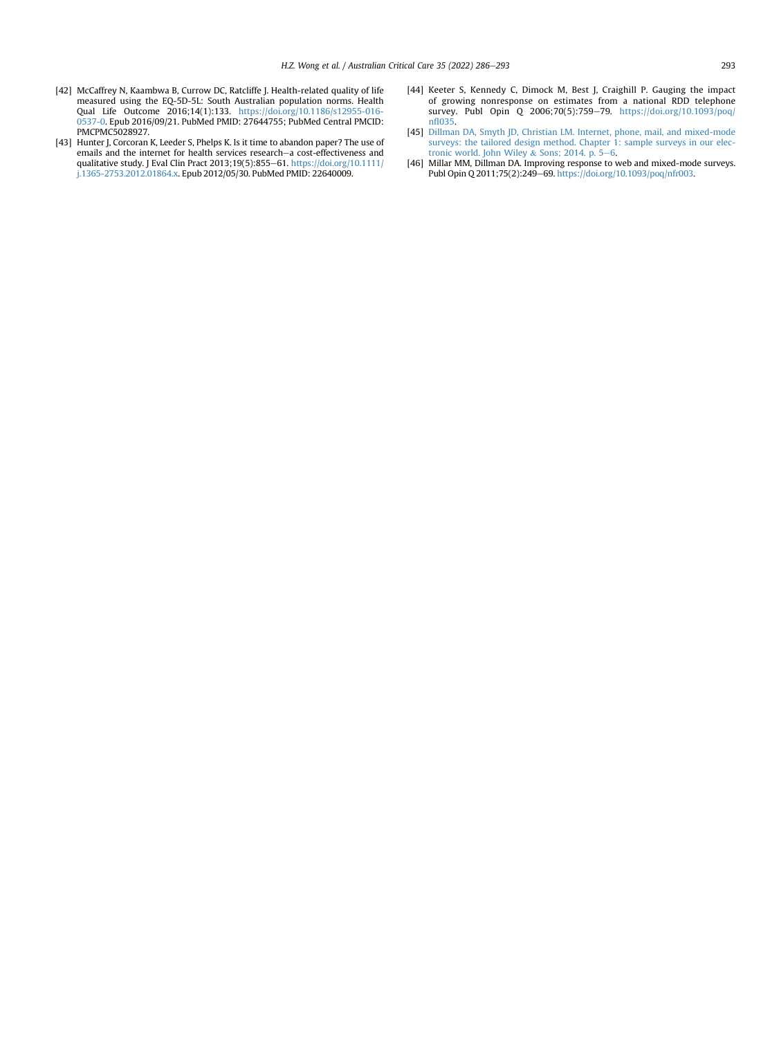- <span id="page-7-0"></span>[42] McCaffrey N, Kaambwa B, Currow DC, Ratcliffe J. Health-related quality of life measured using the EQ-5D-5L: South Australian population norms. Health Qual Life Outcome 2016;14(1):133. [https://doi.org/10.1186/s12955-016-](https://doi.org/10.1186/s12955-016-0537-0) [0537-0](https://doi.org/10.1186/s12955-016-0537-0). Epub 2016/09/21. PubMed PMID: 27644755; PubMed Central PMCID: PMCPMC5028927.
- <span id="page-7-1"></span>[43] Hunter J, Corcoran K, Leeder S, Phelps K. Is it time to abandon paper? The use of emails and the internet for health services research-a cost-effectiveness and qualitative study. J Eval Clin Pract 2013;19(5):855—61. [https://doi.org/10.1111/](https://doi.org/10.1111/j.1365-2753.2012.01864.x)<br>[j.1365-2753.2012.01864.x](https://doi.org/10.1111/j.1365-2753.2012.01864.x). Epub 2012/05/30. PubMed PMID: 22640009.
- <span id="page-7-2"></span>[44] Keeter S, Kennedy C, Dimock M, Best J, Craighill P. Gauging the impact of growing nonresponse on estimates from a national RDD telephone survey. Publ Opin Q 2006;70(5):759–79. [https://doi.org/10.1093/poq/](https://doi.org/10.1093/poq/nfl035) nfl[035.](https://doi.org/10.1093/poq/nfl035)
- <span id="page-7-3"></span>[45] [Dillman DA, Smyth JD, Christian LM. Internet, phone, mail, and mixed-mode](http://refhub.elsevier.com/S1036-7314(21)00062-X/sref45) [surveys: the tailored design method. Chapter 1: sample surveys in our elec](http://refhub.elsevier.com/S1036-7314(21)00062-X/sref45)[tronic world. John Wiley](http://refhub.elsevier.com/S1036-7314(21)00062-X/sref45) & Sons; 2014. p.  $5-6$ .
- <span id="page-7-4"></span>[46] Millar MM, Dillman DA. Improving response to web and mixed-mode surveys. Publ Opin Q 2011;75(2):249e69. <https://doi.org/10.1093/poq/nfr003>.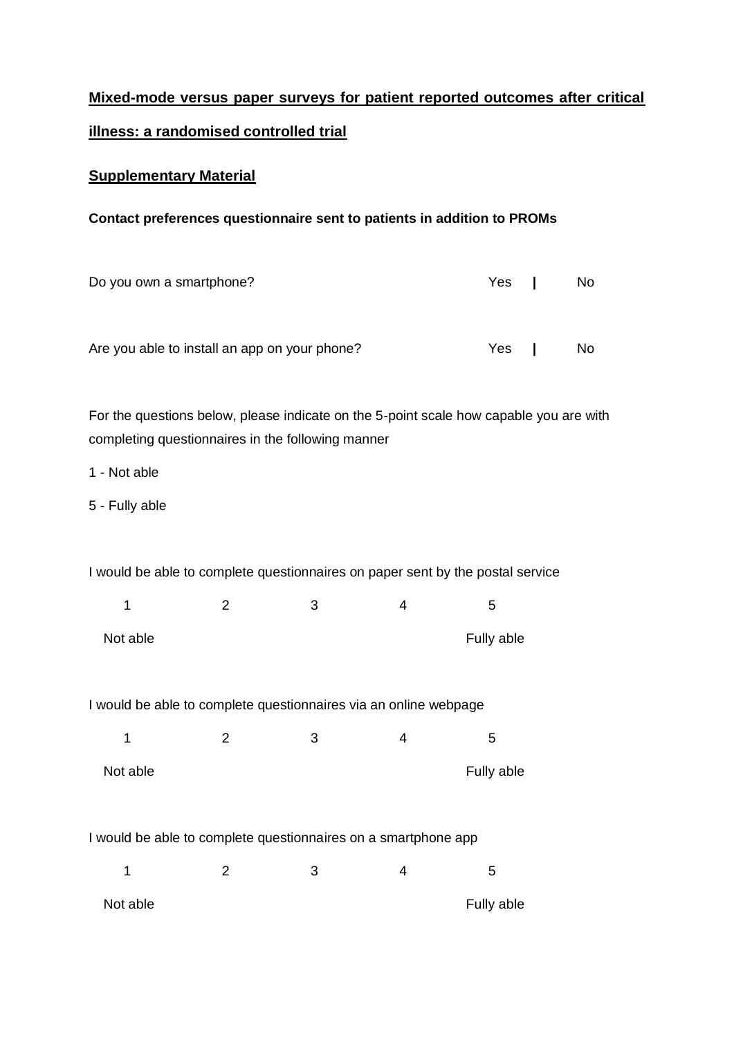# **Mixed-mode versus paper surveys for patient reported outcomes after critical illness: a randomised controlled trial**

## **Supplementary Material**

### **Contact preferences questionnaire sent to patients in addition to PROMs**

| Do you own a smartphone?                      | Yes I | <b>No</b> |
|-----------------------------------------------|-------|-----------|
|                                               |       |           |
| Are you able to install an app on your phone? | Yes I | <b>No</b> |

For the questions below, please indicate on the 5-point scale how capable you are with completing questionnaires in the following manner

- 1 Not able
- 5 Fully able

I would be able to complete questionnaires on paper sent by the postal service

|          | ⌒ | ີ          |
|----------|---|------------|
| Not able |   | Fully able |

I would be able to complete questionnaires via an online webpage

|  | $1$ 2 3 4 5 |  |
|--|-------------|--|
|  |             |  |

Not able **Fully able** 

I would be able to complete questionnaires on a smartphone app

|          | ◠ | ∽          |
|----------|---|------------|
| Not able |   | Fully able |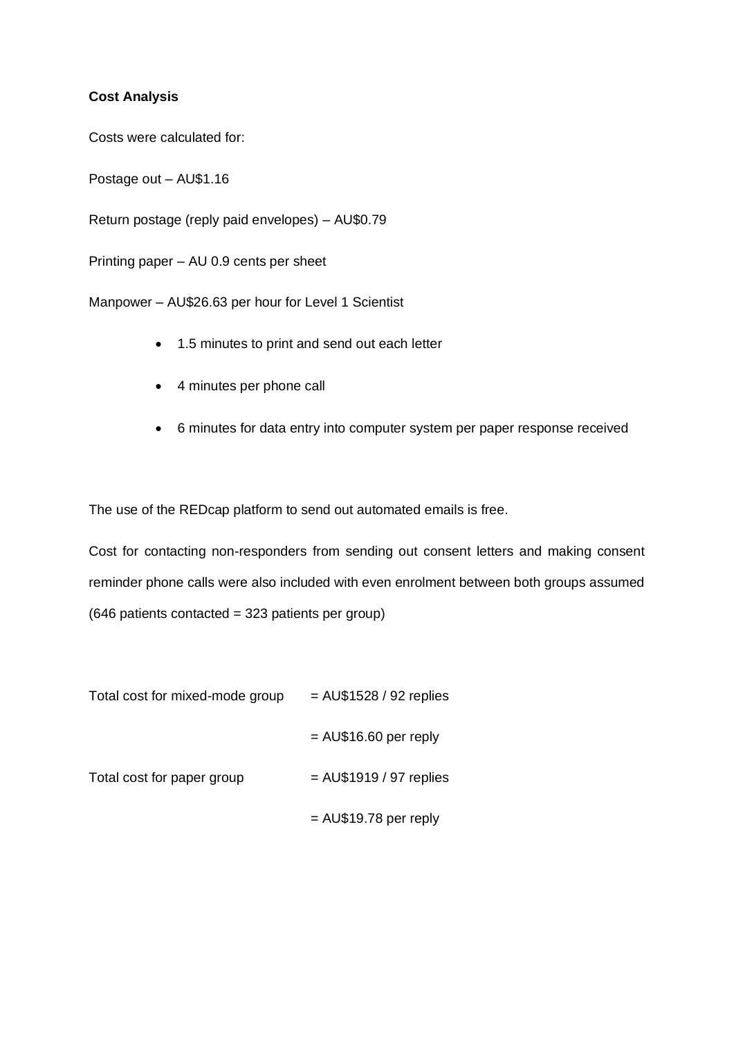### **Cost Analysis**

Costs were calculated for:

Postage out – AU\$1.16

Return postage (reply paid envelopes) – AU\$0.79

Printing paper – AU 0.9 cents per sheet

Manpower – AU\$26.63 per hour for Level 1 Scientist

- 1.5 minutes to print and send out each letter
- 4 minutes per phone call
- 6 minutes for data entry into computer system per paper response received

The use of the REDcap platform to send out automated emails is free.

Cost for contacting non-responders from sending out consent letters and making consent reminder phone calls were also included with even enrolment between both groups assumed (646 patients contacted = 323 patients per group)

| Total cost for mixed-mode group | $=$ AU\$1528 / 92 replies |
|---------------------------------|---------------------------|
|                                 | $=$ AU\$16.60 per reply   |
| Total cost for paper group      | $=$ AU\$1919 / 97 replies |
|                                 | $=$ AU\$19.78 per reply   |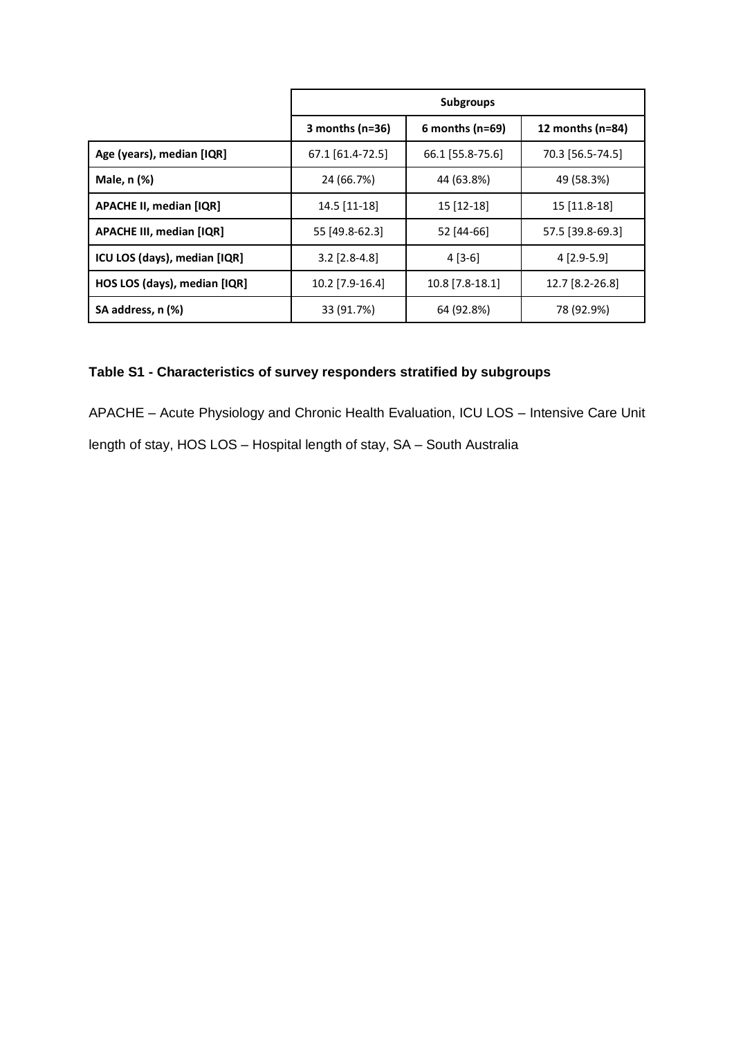|                                 |                     | <b>Subgroups</b>    |                      |
|---------------------------------|---------------------|---------------------|----------------------|
|                                 | 3 months ( $n=36$ ) | 6 months ( $n=69$ ) | 12 months ( $n=84$ ) |
| Age (years), median [IQR]       | 67.1 [61.4-72.5]    | 66.1 [55.8-75.6]    | 70.3 [56.5-74.5]     |
| Male, n (%)                     | 24 (66.7%)          | 44 (63.8%)          | 49 (58.3%)           |
| <b>APACHE II, median [IQR]</b>  | 14.5 [11-18]        | 15 [12-18]          | 15 [11.8-18]         |
| <b>APACHE III, median [IQR]</b> | 55 [49.8-62.3]      | 52 [44-66]          | 57.5 [39.8-69.3]     |
| ICU LOS (days), median [IQR]    | $3.2$ [2.8-4.8]     | $4[3-6]$            | $4$ [2.9-5.9]        |
| HOS LOS (days), median [IQR]    | 10.2 [7.9-16.4]     | 10.8 [7.8-18.1]     | 12.7 [8.2-26.8]      |
| SA address, n (%)               | 33 (91.7%)          | 64 (92.8%)          | 78 (92.9%)           |

# **Table S1 - Characteristics of survey responders stratified by subgroups**

APACHE – Acute Physiology and Chronic Health Evaluation, ICU LOS – Intensive Care Unit

length of stay, HOS LOS – Hospital length of stay, SA – South Australia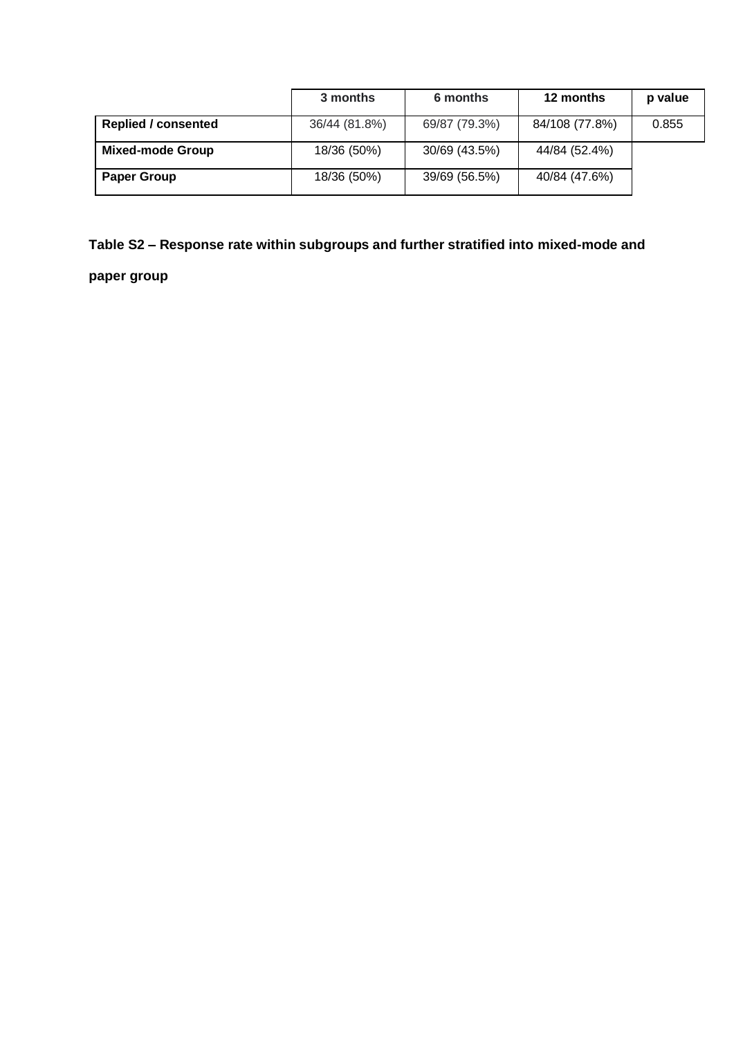|                            | 3 months      | 6 months      | 12 months      | p value |
|----------------------------|---------------|---------------|----------------|---------|
| <b>Replied / consented</b> | 36/44 (81.8%) | 69/87 (79.3%) | 84/108 (77.8%) | 0.855   |
| <b>Mixed-mode Group</b>    | 18/36 (50%)   | 30/69 (43.5%) | 44/84 (52.4%)  |         |
| <b>Paper Group</b>         | 18/36 (50%)   | 39/69 (56.5%) | 40/84 (47.6%)  |         |

**Table S2 – Response rate within subgroups and further stratified into mixed-mode and** 

**paper group**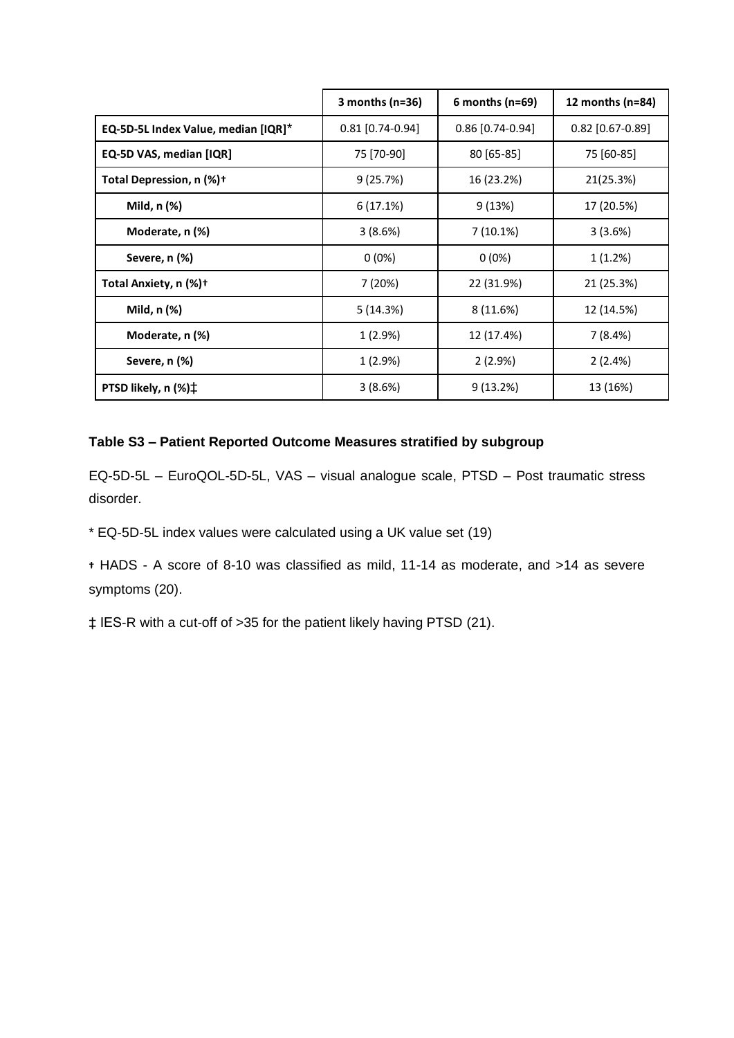|                                     | 3 months ( $n=36$ ) | $6$ months (n=69)  | 12 months ( $n=84$ ) |
|-------------------------------------|---------------------|--------------------|----------------------|
| EQ-5D-5L Index Value, median [IQR]* | $0.81$ [0.74-0.94]  | $0.86$ [0.74-0.94] | $0.82$ [0.67-0.89]   |
| EQ-5D VAS, median [IQR]             | 75 [70-90]          | 80 [65-85]         | 75 [60-85]           |
| Total Depression, n (%)+            | 9(25.7%)            | 16 (23.2%)         | 21(25.3%)            |
| Mild, n (%)                         | 6(17.1%)            | 9(13%)             | 17 (20.5%)           |
| Moderate, n (%)                     | 3(8.6%)             | 7(10.1%)           | 3(3.6%)              |
| Severe, n (%)                       | $0(0\%)$            | $0(0\%)$           | 1(1.2%)              |
| Total Anxiety, n (%)+               | 7 (20%)             | 22 (31.9%)         | 21 (25.3%)           |
| Mild, n (%)                         | 5(14.3%)            | 8 (11.6%)          | 12 (14.5%)           |
| Moderate, n (%)                     | 1 (2.9%)            | 12 (17.4%)         | 7 (8.4%)             |
| Severe, n (%)                       | 1 (2.9%)            | 2(2.9%)            | 2(2.4%)              |
| PTSD likely, n (%) <sup>+</sup>     | 3(8.6%)             | 9(13.2%)           | 13 (16%)             |

# **Table S3 – Patient Reported Outcome Measures stratified by subgroup**

EQ-5D-5L – EuroQOL-5D-5L, VAS – visual analogue scale, PTSD – Post traumatic stress disorder.

\* EQ-5D-5L index values were calculated using a UK value set (19)

**†** HADS - A score of 8-10 was classified as mild, 11-14 as moderate, and >14 as severe symptoms (20).

‡ IES-R with a cut-off of >35 for the patient likely having PTSD (21).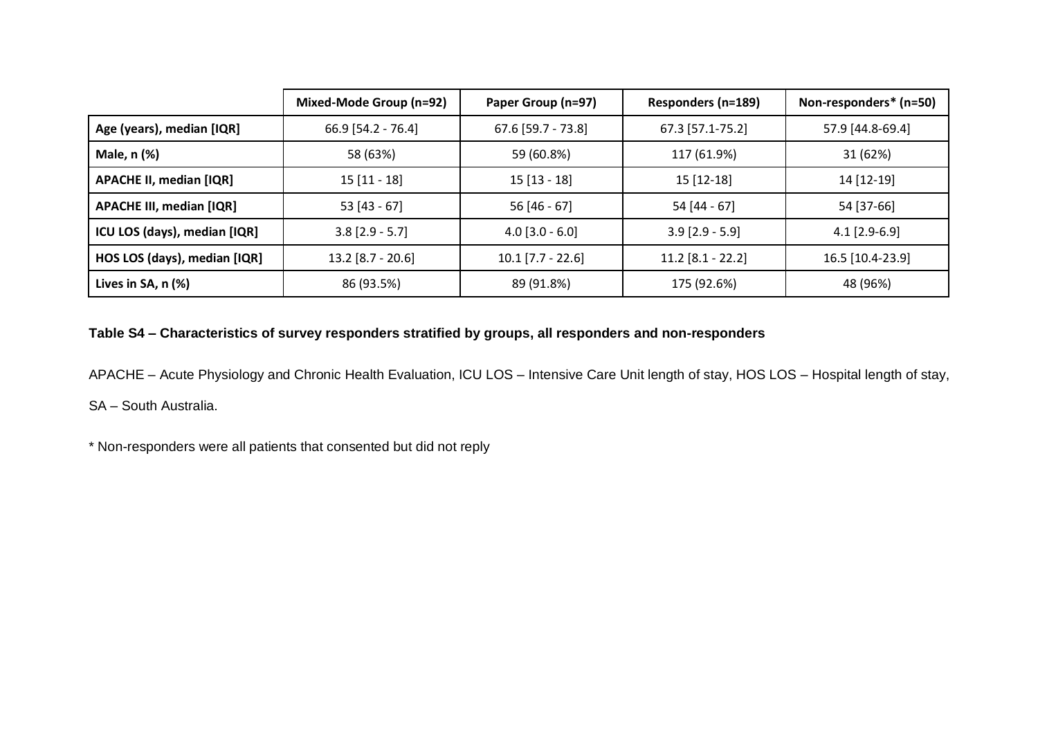|                                 | Mixed-Mode Group (n=92) | Paper Group (n=97)  | Responders (n=189)  | Non-responders* (n=50) |
|---------------------------------|-------------------------|---------------------|---------------------|------------------------|
| Age (years), median [IQR]       | 66.9 [54.2 - 76.4]      | 67.6 [59.7 - 73.8]  | 67.3 [57.1-75.2]    | 57.9 [44.8-69.4]       |
| Male, n (%)                     | 58 (63%)                | 59 (60.8%)          | 117 (61.9%)         | 31 (62%)               |
| <b>APACHE II, median [IQR]</b>  | $15[11-18]$             | $15[13-18]$         | $15 [12-18]$        | 14 [12-19]             |
| <b>APACHE III, median [IQR]</b> | 53 $[43 - 67]$          | $56[46-67]$         | $54[44-67]$         | 54 [37-66]             |
| ICU LOS (days), median [IQR]    | $3.8$ [2.9 - 5.7]       | $4.0$ [3.0 - 6.0]   | $3.9$ [2.9 - 5.9]   | $4.1$ [2.9-6.9]        |
| HOS LOS (days), median [IQR]    | 13.2 [8.7 - 20.6]       | $10.1$ [7.7 - 22.6] | $11.2$ [8.1 - 22.2] | 16.5 [10.4-23.9]       |
| Lives in SA, $n$ $%$            | 86 (93.5%)              | 89 (91.8%)          | 175 (92.6%)         | 48 (96%)               |

### **Table S4 – Characteristics of survey responders stratified by groups, all responders and non-responders**

APACHE – Acute Physiology and Chronic Health Evaluation, ICU LOS – Intensive Care Unit length of stay, HOS LOS – Hospital length of stay,

SA – South Australia.

\* Non-responders were all patients that consented but did not reply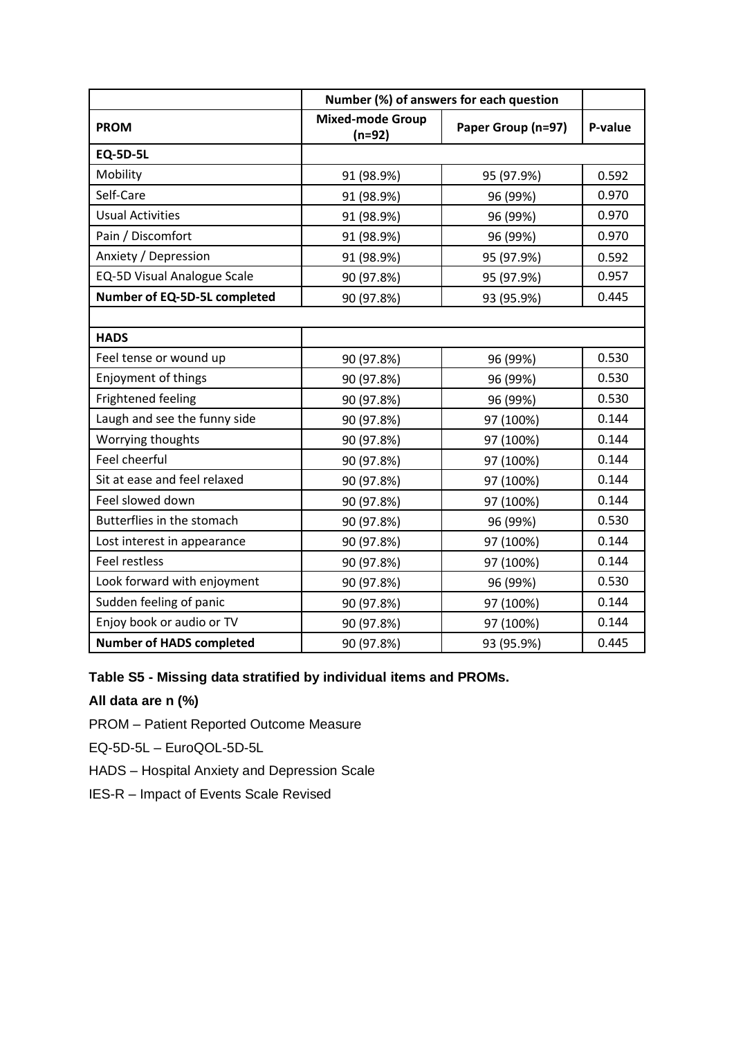|                                    | Number (%) of answers for each question |                    |         |
|------------------------------------|-----------------------------------------|--------------------|---------|
| <b>PROM</b>                        | <b>Mixed-mode Group</b><br>$(n=92)$     | Paper Group (n=97) | P-value |
| <b>EQ-5D-5L</b>                    |                                         |                    |         |
| Mobility                           | 91 (98.9%)                              | 95 (97.9%)         | 0.592   |
| Self-Care                          | 91 (98.9%)                              | 96 (99%)           | 0.970   |
| <b>Usual Activities</b>            | 91 (98.9%)                              | 96 (99%)           | 0.970   |
| Pain / Discomfort                  | 91 (98.9%)                              | 96 (99%)           | 0.970   |
| Anxiety / Depression               | 91 (98.9%)                              | 95 (97.9%)         | 0.592   |
| <b>EQ-5D Visual Analogue Scale</b> | 90 (97.8%)                              | 95 (97.9%)         | 0.957   |
| Number of EQ-5D-5L completed       | 90 (97.8%)                              | 93 (95.9%)         | 0.445   |
|                                    |                                         |                    |         |
| <b>HADS</b>                        |                                         |                    |         |
| Feel tense or wound up             | 90 (97.8%)                              | 96 (99%)           | 0.530   |
| Enjoyment of things                | 90 (97.8%)                              | 96 (99%)           | 0.530   |
| Frightened feeling                 | 90 (97.8%)                              | 96 (99%)           | 0.530   |
| Laugh and see the funny side       | 90 (97.8%)                              | 97 (100%)          | 0.144   |
| Worrying thoughts                  | 90 (97.8%)                              | 97 (100%)          | 0.144   |
| <b>Feel cheerful</b>               | 90 (97.8%)                              | 97 (100%)          | 0.144   |
| Sit at ease and feel relaxed       | 90 (97.8%)                              | 97 (100%)          | 0.144   |
| Feel slowed down                   | 90 (97.8%)                              | 97 (100%)          | 0.144   |
| Butterflies in the stomach         | 90 (97.8%)                              | 96 (99%)           | 0.530   |
| Lost interest in appearance        | 90 (97.8%)                              | 97 (100%)          | 0.144   |
| <b>Feel restless</b>               | 90 (97.8%)                              | 97 (100%)          | 0.144   |
| Look forward with enjoyment        | 90 (97.8%)                              | 96 (99%)           | 0.530   |
| Sudden feeling of panic            | 90 (97.8%)                              | 97 (100%)          | 0.144   |
| Enjoy book or audio or TV          | 90 (97.8%)                              | 97 (100%)          | 0.144   |
| <b>Number of HADS completed</b>    | 90 (97.8%)                              | 93 (95.9%)         | 0.445   |

# **Table S5 - Missing data stratified by individual items and PROMs.**

# **All data are n (%)**

PROM – Patient Reported Outcome Measure

EQ-5D-5L – EuroQOL-5D-5L

- HADS Hospital Anxiety and Depression Scale
- IES-R Impact of Events Scale Revised